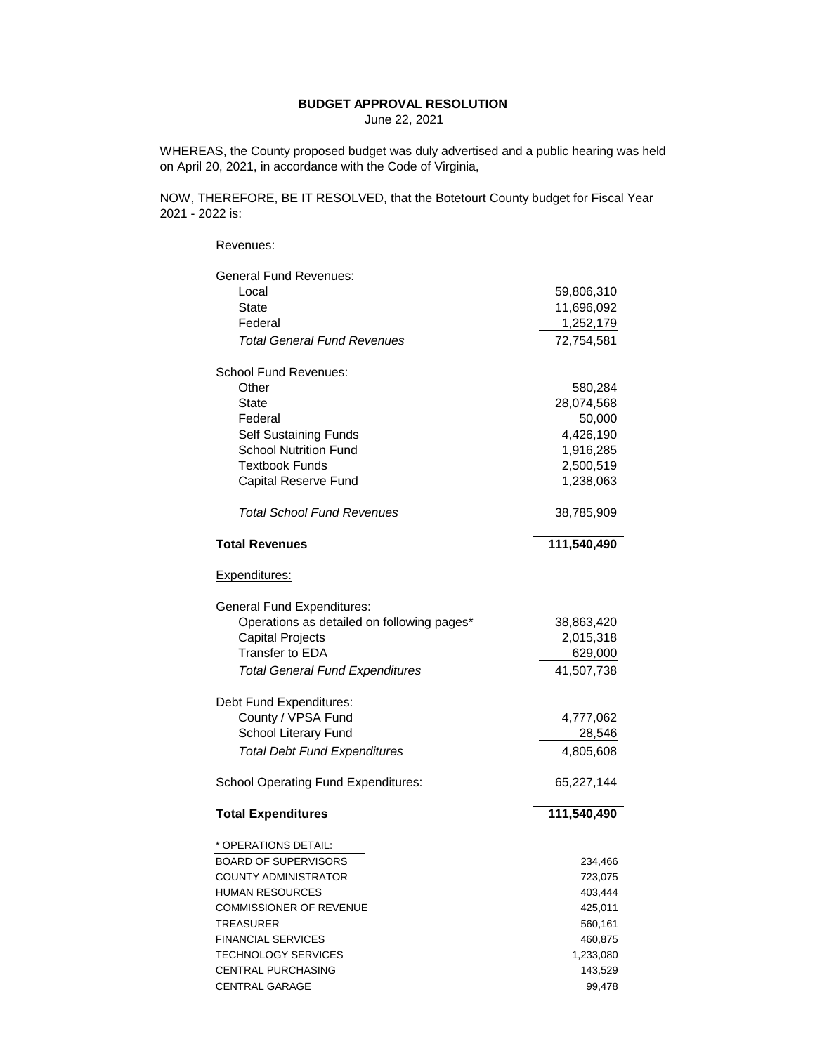## **BUDGET APPROVAL RESOLUTION**

June 22, 2021

WHEREAS, the County proposed budget was duly advertised and a public hearing was held on April 20, 2021, in accordance with the Code of Virginia,

NOW, THEREFORE, BE IT RESOLVED, that the Botetourt County budget for Fiscal Year 2021 - 2022 is:

| Revenues:                                  |             |
|--------------------------------------------|-------------|
| General Fund Revenues:                     |             |
| Local                                      | 59,806,310  |
| <b>State</b>                               | 11,696,092  |
| Federal                                    | 1,252,179   |
| <b>Total General Fund Revenues</b>         | 72,754,581  |
| <b>School Fund Revenues:</b>               |             |
| Other                                      | 580,284     |
| <b>State</b>                               | 28,074,568  |
| Federal                                    | 50,000      |
| <b>Self Sustaining Funds</b>               | 4,426,190   |
| <b>School Nutrition Fund</b>               | 1,916,285   |
| <b>Textbook Funds</b>                      | 2,500,519   |
| <b>Capital Reserve Fund</b>                | 1,238,063   |
| <b>Total School Fund Revenues</b>          | 38,785,909  |
| <b>Total Revenues</b>                      | 111,540,490 |
| Expenditures:                              |             |
| <b>General Fund Expenditures:</b>          |             |
| Operations as detailed on following pages* | 38,863,420  |
| <b>Capital Projects</b>                    | 2,015,318   |
| <b>Transfer to EDA</b>                     | 629,000     |
| <b>Total General Fund Expenditures</b>     | 41,507,738  |
| Debt Fund Expenditures:                    |             |
| County / VPSA Fund                         | 4,777,062   |
| School Literary Fund                       | 28,546      |
| <b>Total Debt Fund Expenditures</b>        | 4,805,608   |
| <b>School Operating Fund Expenditures:</b> | 65,227,144  |
| <b>Total Expenditures</b>                  | 111,540,490 |
| * OPERATIONS DETAIL:                       |             |
| <b>BOARD OF SUPERVISORS</b>                | 234,466     |
| <b>COUNTY ADMINISTRATOR</b>                | 723,075     |
| <b>HUMAN RESOURCES</b>                     | 403,444     |
| <b>COMMISSIONER OF REVENUE</b>             | 425,011     |
| TREASURER                                  | 560,161     |
| <b>FINANCIAL SERVICES</b>                  | 460,875     |
| <b>TECHNOLOGY SERVICES</b>                 | 1,233,080   |
| <b>CENTRAL PURCHASING</b>                  | 143,529     |
| <b>CENTRAL GARAGE</b>                      | 99,478      |